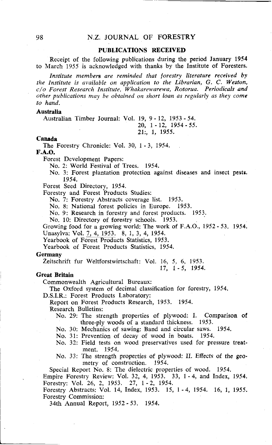# N.Z. **JOURNAL** OF **FORESTRY**

# **PUBLICATIONS RECEIVED**

Receipt of the following publications during the period January 1954 to March 1955 is acknowledged with thanks by the Institute of Foresters.

*Institute members are reminded that forestry literature received by the Institute is available on application to the Librarian, G. C. Weston, C/O Forest Research Institute, Whakarewarewa, Rotorua. Periodicals and other publications may be obtained on short loan as regularly as they come to hand.* 

## **Australia**

Australian Timber Journal: Vol. 19, 9 - 12, 1953 - 54.

# 20, 1 - 12, 1954 - 55. 21:, 1, 1955.

### **Canada**

The Forestry Chronicle: Vol. 30, 1 - 3, 1954.

#### **F.A.O.**

Forest Development Papers:

No. 2: World Festival of Trees. 1954.

No. 3: Forest plantation protection against diseases and insect pests. 1954.

Forest Seed Directory, 1954.

Forestry and Forest Products Studies:

No. 7: Forestry Abstracts coverage list. 1953.

No. 8: National forest policies in Europe. 1953.

No. 9: Research in forestry and forest products. 1953.

No. 10: Directory of forestry schools. 1953.

Growing food for a growing world: The work of F.A.O., 1952 - 53. 1954. Unasylva: Vol. 7, 4, 1953. 8, 1, 3, 4, 1954.

Yearbook of Forest Products Statistics, 1953.

Yearbook of Forest Products Statistics, 1954.

#### **Germany**

Zeitschrift fur Weltforstwirtschaft: Vol. 16, 5, 6, 1953.

17, 1 - 5, 1954.

### **Great Britain**

Commonwealth Agricultural Bureaux:

The Oxford system of decimal classification for forestry, 1954.

D.S.I.R.: Forest Products Laboratory:

Report on Forest Products Research, 1953. 1954.

Research Bulletins:

- No. 29: The strength properties of plywood: I. Comparison of three-ply woods of a standard thickness. 1953.
- No. 30: Mechanics of sawing: Band and circular saws. 1954.

No. 31: Prevention of decay of wood in boats. 1954.

- No. 32: Field tests on wood preservatives used for pressure treatment. 1954.
- No. 33: The strength properties of plywood: **11.** Effects of the geometry of construction. 1954.

Special Report No. 8: The dielectric properties of wood. 1954.

Empire Forestry Review: Vol. 32, 4, 1953. 33, 1 - 4, and Index, 1954. Forestry: Vol. 26, 2, 1953. 27, 1 - 2, 1954.

Forestry Abstracts: Vol. 14, Index, 1953. 15, 1 - 4, 1954. 16, 1, 1955. Forestry Commission:

34th Annual Report, 1952 - 53. 1954.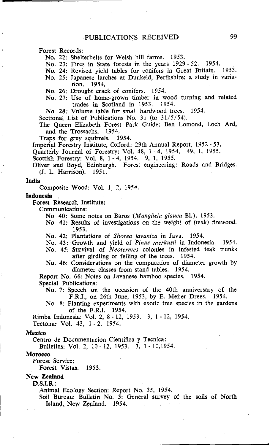Forest Records:

No. 22: Shelterbelts for Welsh hill farms. 1953.

No. 23: Fires in State forests in the years 1929 - 52. 1954.

No. 24: Revised yield tables for conifers in Great Britain. 1953.

No. 25: Japanese larches at Dunkeld, Perthshire: a study in varia-1954.

No. 26: Drought crack of conifers. 1954.

No. 27: Use of home-grown timber in wood turning and related trades in Scotland in 1953. 1954.

No. 28: Volume table for small hardwood trees. 1954.

Sectional List of Publications No. 31 (to 31/5/54).

The Queen Elizabeth Forest Park Guide: Ben Lomond, Loch Ard, and the Trossachs. 1954.<br>aps for grev squirrels. 1954.

Traps for grey squirrels.

Imperial Forestry Institute, Oxford: 29th Annual Report, 1952 - 53.

Quarterly Journal of Forestry: Vol. 48, 1-4, 1954, 49, 1, 1955.

Scottish Forestry: Vol. 8, 1 - 4, 1954. 9, 1, 1955.

Oliver and Boyd, Edinburgh. Forest engineering: Roads and Bridges. (J. L. Harrison). 1951.

#### **India**

Composite Wood: Vol. 1, 2, 1954.

#### **Indonesia**

Forest Research Institute:

Communications:

No. 40: Some notes on Baros *(Manglieia glauca* Bl.). 1953.

No. 41: Results of investigations on the weight of (teak) firewood. 1953.

No. 42: Plantations of *Shorea javanica* in Java. 1954.

No. 43: Growth and yield of *Pinus merkusii* in Indonesia. 1954.

No. 45: Survival of *Neorermes* colonies in infested teak trunks after girdling or felling of the trees. 1954.

No. 46: Considerations on the computation of diameter growth by diameter classes from stand tables. 1954.

Report No. 66: Notes on Javanese bamboo species. 1954.

Special Publications:

No. 7: Speech on the occasion of the 40th anniversary of the F.R.I., on 26th June, 1953, by E. Meijer Drees. 1954.

No. 8: Planting experiments with exotic tree species in the gardens of the F.R.I. 1954.

Rimba Indonesia: Vol. 2, 8 - 12, 1953. 3, 1 - 12, 1954.

Tectona: Vol. 43, 1 - 2, 1954.

#### **Mexico**

Centro de Documentacion Cientifica y Tecnica:

Bulletins: Vol. 2, 10-12, 1953. 3, 1-10,1954.

#### **Morocco**

Forest Service:

Forest Vistas. 1953.

### **New Zealand**

**D.S.I.R.:** 

Animal Ecology Section: Report No. 35, 1954.

Soil Bureau: Bulletin No. 5: General survey of the soils of North Island, New Zealand, 1954.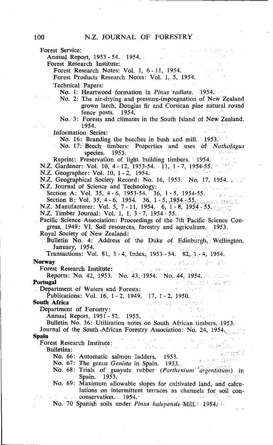Forest Service:

Annual Report, 1953 - 54. 1954.

Forest Research Institute:

Forest Research Notes: Vol. 1, 6 - 11, 1954.

Forest Products Research Notes: Vol. 1, 5, 1954.

Technical Papers:

No. 1: Heartwood formation in Pinus radiata. 1954.

- No. 2: The air-drying and pressure-impregnation of New Zealand grown larch, Douglas fir and Corsican pine natural round fence posts. 1954.
- No. 3: Forests and climates in the South Island of New Zealand. 1954.

Information Series:

No. 16: Branding the beeches in bush and mill. 1953.

No. 17: Beech timbers: Properties and uses of Norhofagus species. 1953.

Reprint: Preservation of light building timbers. 1954.

N.Z. Gardener: Vol. 10, 4-12, 1953-54. 11, 1-7, 1954-55.

N.Z. Geographer: Vol. 10, 1 - 2, 1954.

**N.Z. Geographical Society Record: No. 16, 1953. No. 17, 1954. Also** N.Z. Journal of Science and Technology:

Section A: Vol. 35, 4 - 6, 1953-54. 36, 1 - 5, 1954-55.

Section B: Vol. 35, 4 - 6, 1954. 36, 1 - 5, 1954. 55.<br>
N.Z. Manufacturer: Vol. 5, 7 - 11, 1954. 6, 1954. 6, 1954.

N.Z. Timber Journal: Vol. 1, 1, 3 - 7, 1954 - 55.

Pacific Science Association: Proceedings of the 7th Pacific Science Congress, 1949: VI. Soil resources, forestry and agriculture. 1953. Royal Society of New Zealand:

Bulletin No. 4: Address of the Duke of Edinburgh, Wellington, January, 1954.

 $\sim 10^{-11}$ 

 $\mathcal{F}(\mathcal{A})$  is a subset of  $\mathcal{F}$ 

iki militar da bayan gudar z

إنساء الرزا

그림의 남편

್ಲ ಉಂಟಾಗಿನ

Transactions: Vol. 81, 3 - 4, Index, 1953 - 54. 82, 1 - 4, 1954.

#### **Norway**

Forest Research Institute:

Reports: No. 42, 1953. No. 43, 1954. No. 44, 1954. And the end **Portugal** 

Department of Waters and Forests:

Publications: Vol. 16, 1 - 2, 1949. 17, 1 - 2, 1950.

# **South Africa**

Department of Forestry:

Annual Report, 1951 - 52. 1953.

Bulletin No. 36: Utilization notes on South African timbers, 1953. Journal of the South African Forestry Association: No. 24, 1954.

## **Spain**

**ain**<br>**Forest Research Institute:**<br>**Pollatino:** Philadelphia and the property of the property of the property of the property of the property of the property of the property of the property of the property of the property

Bulletins:

No. 66: Automatic salmon ladders. 1953.

No.  $67:$  The genus Genista in Spain.  $1953.$ <br>No.  $68:$  Trials of Genista in Spain.  $1953.$ No. 68: Trials of guayule rubber (Parthenium argentatum) in<br>
Spain 1952 Spain. 1953.

No. 69: Maximum allowable slopes for cultivated land, and calculations on intermittent terraces as channels for soil conconservation. 1954.

No. 70 Spanish soils under Pinus halepensis Mill. 1954;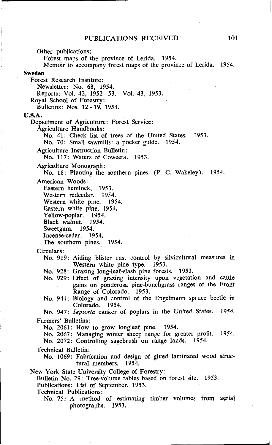Other publications:

Forest maps of the province of Lerida. 1954.

Memoir to accompany forest maps of the province of Lerida. 1954.

**Sweden** 

Forest Research Institute:

Newsletter: No. 68, 1954.

Reports: Vol. 42, 1952 - 53. Vol. 43, 1953.

Royal School of Forestry:

Bulletins: Nos. 12 - 19, 1953.

#### **U.S.A.**

Department of Agriculture: Forest Service:

Agriculture Handbooks :

No. 41: Check list of trees of the United States. 1953.

No. 70: Small sawmills: a pocket guide. 1954.

Agriculture Instruction Bulletin:

No. 117: Waters of Coweeta. 1953.

Agriculture Monograph: No. 18: Planting the southern pines. (P. C. Wakeley). 1954.

American Woods:

Eastern hemlock, 1953.

Western redcedar. 1954. Western white pine. 1954.

Eastern white pine, 1954.

Yellow-poplar. 1954.

Black walnut. 1954.<br>Sweetgum. 1954. Sweetgum.

Incense-cedar. 1954.

The southern pines. 1954.

Circulars:

No. 919: Aiding blister rust control by silvicultural measures in Western white pine type. 1953.

No. 928: Grazing long-leaf-slash pine forests. 1953.

No. 929: Effect of grazing intensity upon vegetation and cattle gains on ponderosa pine-bunchgrass ranges of the Front Range of Colorado. 1953.

No. 944: Biology and control of the Engelmann spruce beetle in Colorado. 1954.

No. 947: Septoria canker of poplars in the United States. 1954. Farmers' Bulletins:

No. 2061: How to grow longleaf pine. 1954.

No. 2067: Managing winter sheep range for greater profit. 1954.

No. 2072: Controlling sagebrush on range lands. 1954.

Technical Bulletin:

No. 1069: Fabrication and design of glued laminated wood structural members. 1954.

New York State University College of Forestry:

Bulletin No. 29: Tree-volume tables based on forest site. 1953.

Publications: List of September, 1953.

Technical Publications:

No. 75: A method of estimating timber volumes from aerial photographs. 1953.